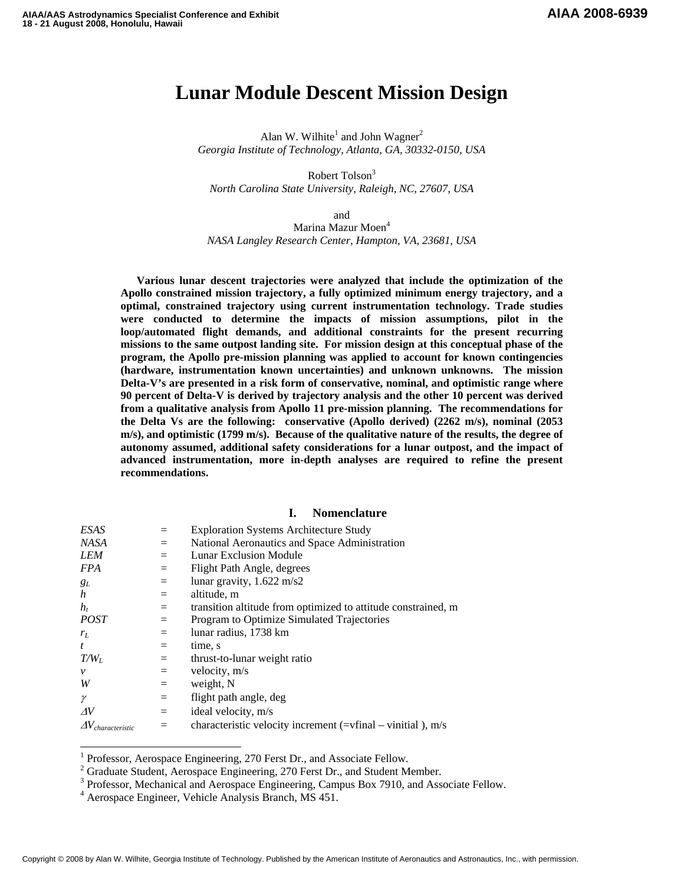# **Lunar Module Descent Mission Design**

Alan W. Wilhite<sup>1</sup> and John Wagner<sup>2</sup> *Georgia Institute of Technology, Atlanta, GA, 30332-0150, USA* 

Robert Tolson<sup>3</sup> *North Carolina State University, Raleigh, NC, 27607, USA* 

and

Marina Mazur Moen<sup>4</sup> *NASA Langley Research Center, Hampton, VA, 23681, USA* 

**Various lunar descent trajectories were analyzed that include the optimization of the Apollo constrained mission trajectory, a fully optimized minimum energy trajectory, and a optimal, constrained trajectory using current instrumentation technology. Trade studies were conducted to determine the impacts of mission assumptions, pilot in the loop/automated flight demands, and additional constraints for the present recurring missions to the same outpost landing site. For mission design at this conceptual phase of the program, the Apollo pre-mission planning was applied to account for known contingencies (hardware, instrumentation known uncertainties) and unknown unknowns. The mission Delta-V's are presented in a risk form of conservative, nominal, and optimistic range where 90 percent of Delta-V is derived by trajectory analysis and the other 10 percent was derived from a qualitative analysis from Apollo 11 pre-mission planning. The recommendations for the Delta Vs are the following: conservative (Apollo derived) (2262 m/s), nominal (2053 m/s), and optimistic (1799 m/s). Because of the qualitative nature of the results, the degree of autonomy assumed, additional safety considerations for a lunar outpost, and the impact of advanced instrumentation, more in-depth analyses are required to refine the present recommendations.** 

#### **I. Nomenclature**

| ESAS                           |     | <b>Exploration Systems Architecture Study</b>                   |
|--------------------------------|-----|-----------------------------------------------------------------|
| <b>NASA</b>                    | $=$ | National Aeronautics and Space Administration                   |
| <b>LEM</b>                     | $=$ | Lunar Exclusion Module                                          |
| <i>FPA</i>                     | $=$ | Flight Path Angle, degrees                                      |
| $g_L$                          | $=$ | lunar gravity, $1.622 \text{ m/s2}$                             |
| $\boldsymbol{h}$               | $=$ | altitude, m                                                     |
| $h_t$                          | $=$ | transition altitude from optimized to attitude constrained, m   |
| <i>POST</i>                    | $=$ | Program to Optimize Simulated Trajectories                      |
| $r_L$                          | $=$ | lunar radius, 1738 km                                           |
| t                              | $=$ | time, s                                                         |
| $T/W_L$                        | $=$ | thrust-to-lunar weight ratio                                    |
| $\mathcal V$                   | $=$ | velocity, m/s                                                   |
| W                              | $=$ | weight, N                                                       |
| $\gamma$                       | $=$ | flight path angle, deg                                          |
| $\Delta V$                     | $=$ | ideal velocity, m/s                                             |
| $\varDelta V_{characteristic}$ | $=$ | characteristic velocity increment ( $=$ vfinal – vinitial), m/s |

<sup>&</sup>lt;sup>1</sup> Professor, Aerospace Engineering, 270 Ferst Dr., and Associate Fellow.<br><sup>2</sup> Creducto Student, Aerospace Engineering, 270 Ferst Dr., and Student M

-

<sup>&</sup>lt;sup>2</sup> Graduate Student, Aerospace Engineering, 270 Ferst Dr., and Student Member.

 $3$  Professor, Mechanical and Aerospace Engineering, Campus Box 7910, and Associate Fellow.

Aerospace Engineer, Vehicle Analysis Branch, MS 451.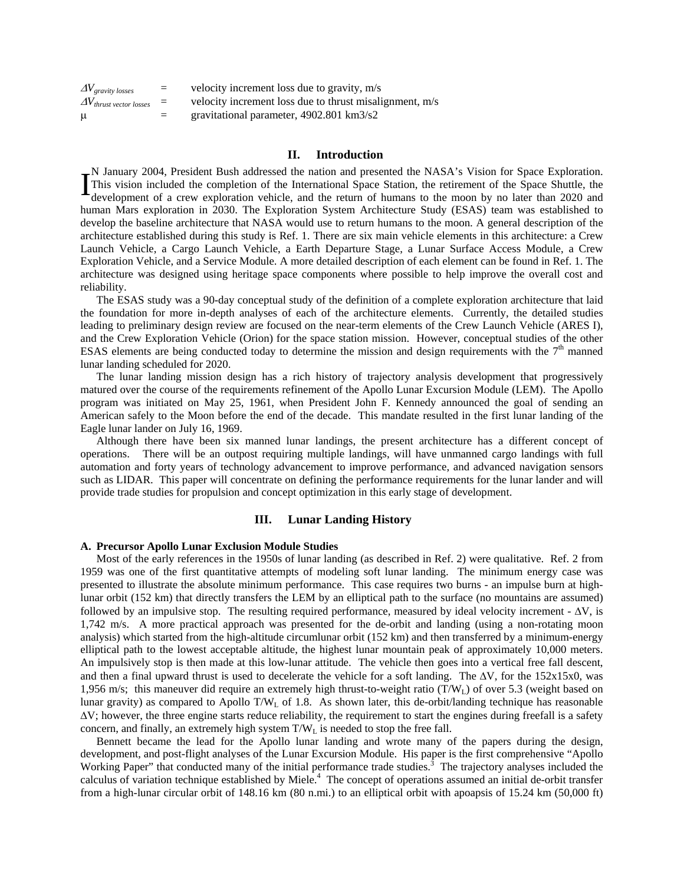| $\Delta V_{gravity\ losses}$                 | $=$ | velocity increment loss due to gravity, m/s             |
|----------------------------------------------|-----|---------------------------------------------------------|
| $\Delta V$ <sub>thrust vector losses</sub> = |     | velocity increment loss due to thrust misalignment, m/s |
| $\mu$                                        | $=$ | gravitational parameter, 4902.801 km3/s2                |

## **II. Introduction**

N January 2004, President Bush addressed the nation and presented the NASA's Vision for Space Exploration. This vision included the completion of the International Space Station, the retirement of the Space Shuttle, the development of a crew exploration vehicle, and the return of humans to the moon by no later than 2020 and human Mars exploration in 2030. The Exploration System Architecture Study (ESAS) team was established to develop the baseline architecture that NASA would use to return humans to the moon. A general description of the architecture established during this study is Ref. 1. There are six main vehicle elements in this architecture: a Crew Launch Vehicle, a Cargo Launch Vehicle, a Earth Departure Stage, a Lunar Surface Access Module, a Crew Exploration Vehicle, and a Service Module. A more detailed description of each element can be found in Ref. 1. The architecture was designed using heritage space components where possible to help improve the overall cost and reliability.  $\textbf{I}^\text{\tiny N}_{\scriptscriptstyle \text{dS}}$ 

The ESAS study was a 90-day conceptual study of the definition of a complete exploration architecture that laid the foundation for more in-depth analyses of each of the architecture elements. Currently, the detailed studies leading to preliminary design review are focused on the near-term elements of the Crew Launch Vehicle (ARES I), and the Crew Exploration Vehicle (Orion) for the space station mission. However, conceptual studies of the other ESAS elements are being conducted today to determine the mission and design requirements with the  $7<sup>th</sup>$  manned lunar landing scheduled for 2020.

The lunar landing mission design has a rich history of trajectory analysis development that progressively matured over the course of the requirements refinement of the Apollo Lunar Excursion Module (LEM). The Apollo program was initiated on May 25, 1961, when President John F. Kennedy announced the goal of sending an American safely to the Moon before the end of the decade. This mandate resulted in the first lunar landing of the Eagle lunar lander on July 16, 1969.

Although there have been six manned lunar landings, the present architecture has a different concept of operations. There will be an outpost requiring multiple landings, will have unmanned cargo landings with full automation and forty years of technology advancement to improve performance, and advanced navigation sensors such as LIDAR. This paper will concentrate on defining the performance requirements for the lunar lander and will provide trade studies for propulsion and concept optimization in this early stage of development.

#### **III. Lunar Landing History**

#### **A. Precursor Apollo Lunar Exclusion Module Studies**

Most of the early references in the 1950s of lunar landing (as described in Ref. 2) were qualitative. Ref. 2 from 1959 was one of the first quantitative attempts of modeling soft lunar landing. The minimum energy case was presented to illustrate the absolute minimum performance. This case requires two burns - an impulse burn at highlunar orbit (152 km) that directly transfers the LEM by an elliptical path to the surface (no mountains are assumed) followed by an impulsive stop. The resulting required performance, measured by ideal velocity increment -  $\Delta V$ , is 1,742 m/s. A more practical approach was presented for the de-orbit and landing (using a non-rotating moon analysis) which started from the high-altitude circumlunar orbit (152 km) and then transferred by a minimum-energy elliptical path to the lowest acceptable altitude, the highest lunar mountain peak of approximately 10,000 meters. An impulsively stop is then made at this low-lunar attitude. The vehicle then goes into a vertical free fall descent, and then a final upward thrust is used to decelerate the vehicle for a soft landing. The  $\Delta V$ , for the 152x15x0, was 1,956 m/s; this maneuver did require an extremely high thrust-to-weight ratio (T/W<sub>L</sub>) of over 5.3 (weight based on lunar gravity) as compared to Apollo T/W<sub>L</sub> of 1.8. As shown later, this de-orbit/landing technique has reasonable  $\Delta V$ ; however, the three engine starts reduce reliability, the requirement to start the engines during freefall is a safety concern, and finally, an extremely high system  $T/W_L$  is needed to stop the free fall.

Bennett became the lead for the Apollo lunar landing and wrote many of the papers during the design, development, and post-flight analyses of the Lunar Excursion Module. His paper is the first comprehensive "Apollo Working Paper" that conducted many of the initial performance trade studies. $\hat{3}$  The trajectory analyses included the calculus of variation technique established by Miele.<sup>4</sup> The concept of operations assumed an initial de-orbit transfer from a high-lunar circular orbit of 148.16 km (80 n.mi.) to an elliptical orbit with apoapsis of 15.24 km (50,000 ft)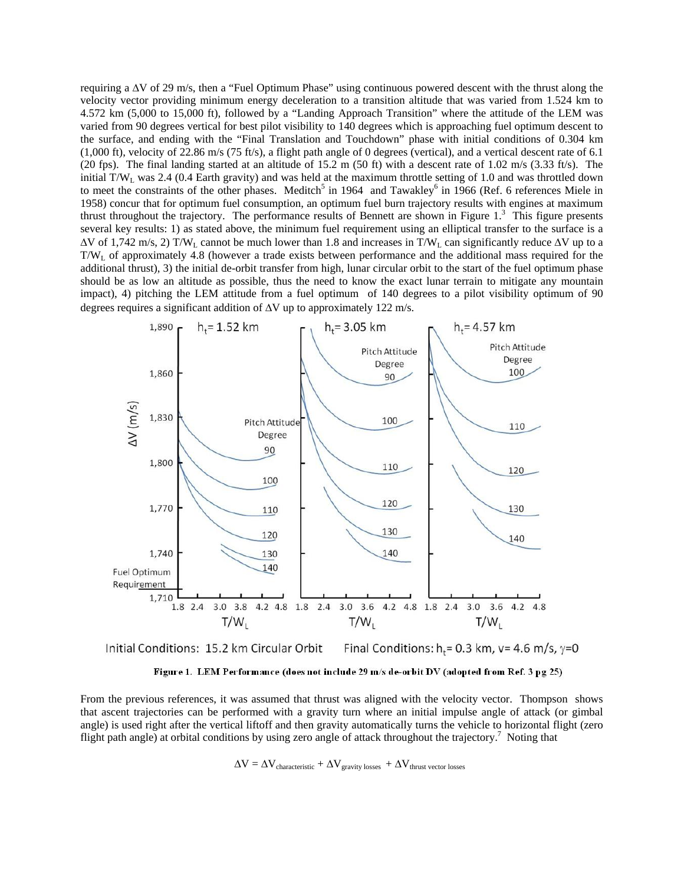requiring a ΔV of 29 m/s, then a "Fuel Optimum Phase" using continuous powered descent with the thrust along the velocity vector providing minimum energy deceleration to a transition altitude that was varied from 1.524 km to 4.572 km (5,000 to 15,000 ft), followed by a "Landing Approach Transition" where the attitude of the LEM was varied from 90 degrees vertical for best pilot visibility to 140 degrees which is approaching fuel optimum descent to the surface, and ending with the "Final Translation and Touchdown" phase with initial conditions of 0.304 km (1,000 ft), velocity of 22.86 m/s (75 ft/s), a flight path angle of 0 degrees (vertical), and a vertical descent rate of 6.1 (20 fps). The final landing started at an altitude of 15.2 m (50 ft) with a descent rate of 1.02 m/s (3.33 ft/s). The initial T/WL was 2.4 (0.4 Earth gravity) and was held at the maximum throttle setting of 1.0 and was throttled down to meet the constraints of the other phases. Meditch<sup>5</sup> in 1964 and Tawakley<sup>6</sup> in 1966 (Ref. 6 references Miele in 1958) concur that for optimum fuel consumption, an optimum fuel burn trajectory results with engines at maximum thrust throughout the trajectory. The performance results of Bennett are shown in Figure  $1<sup>3</sup>$  This figure presents several key results: 1) as stated above, the minimum fuel requirement using an elliptical transfer to the surface is a  $\Delta V$  of 1,742 m/s, 2) T/W<sub>L</sub> cannot be much lower than 1.8 and increases in T/W<sub>L</sub> can significantly reduce  $\Delta V$  up to a  $T/W<sub>L</sub>$  of approximately 4.8 (however a trade exists between performance and the additional mass required for the additional thrust), 3) the initial de-orbit transfer from high, lunar circular orbit to the start of the fuel optimum phase should be as low an altitude as possible, thus the need to know the exact lunar terrain to mitigate any mountain impact), 4) pitching the LEM attitude from a fuel optimum of 140 degrees to a pilot visibility optimum of 90 degrees requires a significant addition of ΔV up to approximately 122 m/s.



Final Conditions:  $h_r = 0.3$  km,  $v = 4.6$  m/s,  $\gamma = 0$ Initial Conditions: 15.2 km Circular Orbit



From the previous references, it was assumed that thrust was aligned with the velocity vector. Thompson shows that ascent trajectories can be performed with a gravity turn where an initial impulse angle of attack (or gimbal angle) is used right after the vertical liftoff and then gravity automatically turns the vehicle to horizontal flight (zero flight path angle) at orbital conditions by using zero angle of attack throughout the trajectory.<sup>7</sup> Noting that

 $\Delta V = \Delta V_{\text{characteristic}} + \Delta V_{\text{gravity losses}} + \Delta V_{\text{thrust vector losses}}$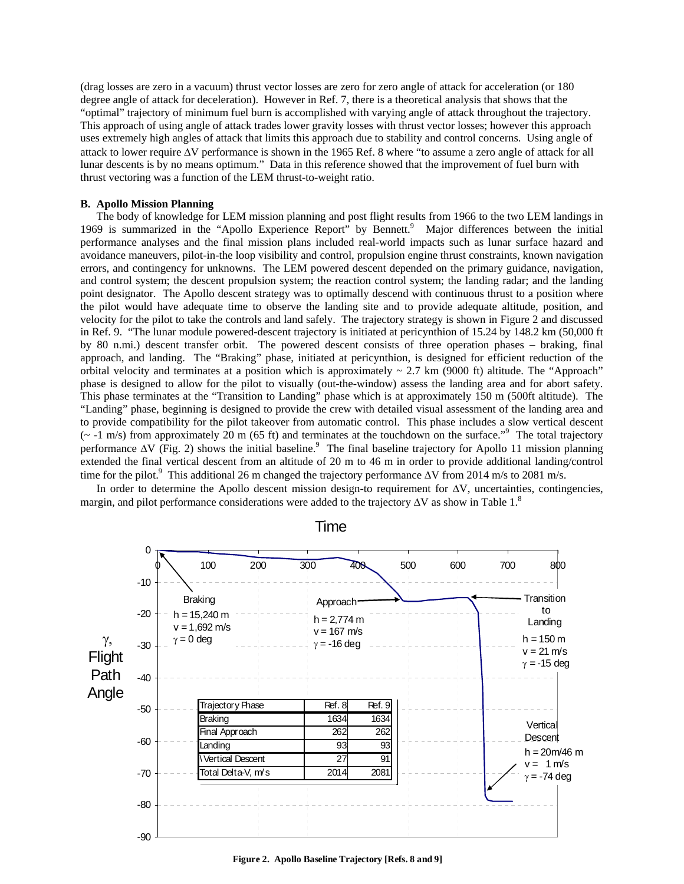(drag losses are zero in a vacuum) thrust vector losses are zero for zero angle of attack for acceleration (or 180 degree angle of attack for deceleration). However in Ref. 7, there is a theoretical analysis that shows that the "optimal" trajectory of minimum fuel burn is accomplished with varying angle of attack throughout the trajectory. This approach of using angle of attack trades lower gravity losses with thrust vector losses; however this approach uses extremely high angles of attack that limits this approach due to stability and control concerns. Using angle of attack to lower require ΔV performance is shown in the 1965 Ref. 8 where "to assume a zero angle of attack for all lunar descents is by no means optimum." Data in this reference showed that the improvement of fuel burn with thrust vectoring was a function of the LEM thrust-to-weight ratio.

## **B. Apollo Mission Planning**

The body of knowledge for LEM mission planning and post flight results from 1966 to the two LEM landings in 1969 is summarized in the "Apollo Experience Report" by Bennett.<sup>9</sup> Major differences between the initial performance analyses and the final mission plans included real-world impacts such as lunar surface hazard and avoidance maneuvers, pilot-in-the loop visibility and control, propulsion engine thrust constraints, known navigation errors, and contingency for unknowns. The LEM powered descent depended on the primary guidance, navigation, and control system; the descent propulsion system; the reaction control system; the landing radar; and the landing point designator. The Apollo descent strategy was to optimally descend with continuous thrust to a position where the pilot would have adequate time to observe the landing site and to provide adequate altitude, position, and velocity for the pilot to take the controls and land safely. The trajectory strategy is shown in Figure 2 and discussed in Ref. 9. "The lunar module powered-descent trajectory is initiated at pericynthion of 15.24 by 148.2 km (50,000 ft by 80 n.mi.) descent transfer orbit. The powered descent consists of three operation phases – braking, final approach, and landing. The "Braking" phase, initiated at pericynthion, is designed for efficient reduction of the orbital velocity and terminates at a position which is approximately  $\sim$  2.7 km (9000 ft) altitude. The "Approach" phase is designed to allow for the pilot to visually (out-the-window) assess the landing area and for abort safety. This phase terminates at the "Transition to Landing" phase which is at approximately 150 m (500ft altitude). The "Landing" phase, beginning is designed to provide the crew with detailed visual assessment of the landing area and to provide compatibility for the pilot takeover from automatic control. This phase includes a slow vertical descent  $\sim$  -1 m/s) from approximately 20 m (65 ft) and terminates at the touchdown on the surface.<sup>"9</sup> The total trajectory performance  $\Delta V$  (Fig. 2) shows the initial baseline.<sup>9</sup> The final baseline trajectory for Apollo 11 mission planning extended the final vertical descent from an altitude of 20 m to 46 m in order to provide additional landing/control time for the pilot.<sup>9</sup> This additional 26 m changed the trajectory performance  $\Delta V$  from 2014 m/s to 2081 m/s.

In order to determine the Apollo descent mission design-to requirement for  $\Delta V$ , uncertainties, contingencies, margin, and pilot performance considerations were added to the trajectory  $\Delta V$  as show in Table 1.<sup>8</sup>



Time

**Figure 2. Apollo Baseline Trajectory [Refs. 8 and 9]**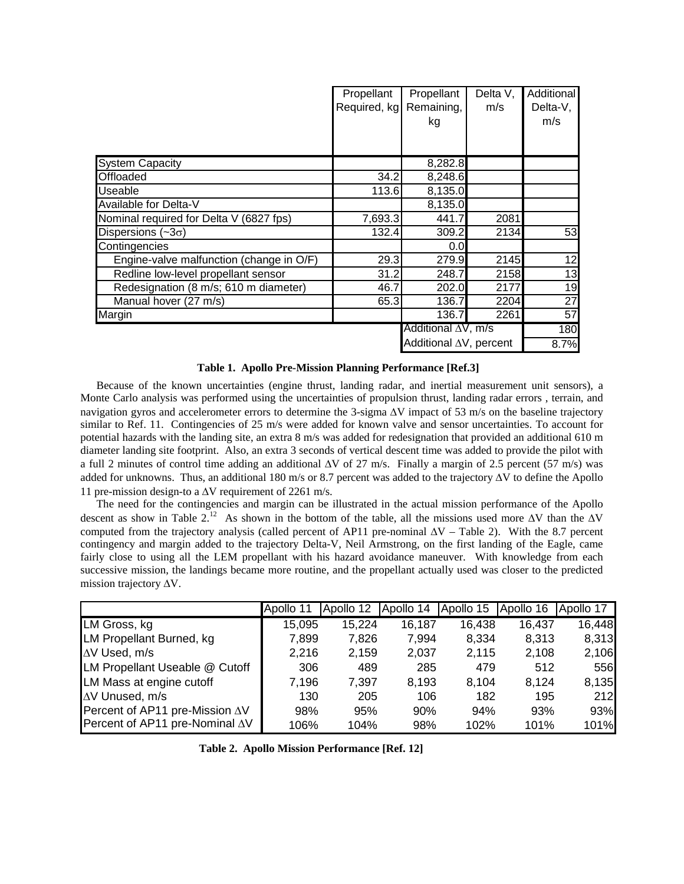|                                          | Propellant   | Propellant             | Delta V, | Additional |
|------------------------------------------|--------------|------------------------|----------|------------|
|                                          | Required, kg | Remaining,             | m/s      | Delta-V,   |
|                                          |              | kg                     |          | m/s        |
|                                          |              |                        |          |            |
| <b>System Capacity</b>                   |              | 8,282.8                |          |            |
| Offloaded                                | 34.2         | 8,248.6                |          |            |
| <b>Useable</b>                           | 113.6        | 8,135.0                |          |            |
| Available for Delta-V                    |              | 8,135.0                |          |            |
| Nominal required for Delta V (6827 fps)  | 7,693.3      | 441.7                  | 2081     |            |
| Dispersions $(-3\sigma)$                 | 132.4        | 309.2                  | 2134     | 53         |
| Contingencies                            |              | 0.0                    |          |            |
| Engine-valve malfunction (change in O/F) | 29.3         | 279.9                  | 2145     | 12         |
| Redline low-level propellant sensor      | 31.2         | 248.7                  | 2158     | 13         |
| Redesignation (8 m/s; 610 m diameter)    | 46.7         | 202.0                  | 2177     | 19         |
| Manual hover (27 m/s)                    | 65.3         | 136.7                  | 2204     | 27         |
| Margin                                   |              | 136.7                  | 2261     | 57         |
|                                          |              | Additional ∆V, m/s     |          | 180        |
|                                          |              | Additional AV, percent |          | 8.7%       |

| Table 1. Apollo Pre-Mission Planning Performance [Ref.3] |  |  |  |  |  |  |
|----------------------------------------------------------|--|--|--|--|--|--|
|----------------------------------------------------------|--|--|--|--|--|--|

Because of the known uncertainties (engine thrust, landing radar, and inertial measurement unit sensors), a Monte Carlo analysis was performed using the uncertainties of propulsion thrust, landing radar errors , terrain, and navigation gyros and accelerometer errors to determine the 3-sigma ΔV impact of 53 m/s on the baseline trajectory similar to Ref. 11. Contingencies of 25 m/s were added for known valve and sensor uncertainties. To account for potential hazards with the landing site, an extra 8 m/s was added for redesignation that provided an additional 610 m diameter landing site footprint. Also, an extra 3 seconds of vertical descent time was added to provide the pilot with a full 2 minutes of control time adding an additional  $\Delta V$  of 27 m/s. Finally a margin of 2.5 percent (57 m/s) was added for unknowns. Thus, an additional 180 m/s or 8.7 percent was added to the trajectory ΔV to define the Apollo 11 pre-mission design-to a ΔV requirement of 2261 m/s.

The need for the contingencies and margin can be illustrated in the actual mission performance of the Apollo descent as show in Table  $2^{12}$ . As shown in the bottom of the table, all the missions used more  $\Delta V$  than the  $\Delta V$ computed from the trajectory analysis (called percent of AP11 pre-nominal ΔV – Table 2). With the 8.7 percent contingency and margin added to the trajectory Delta-V, Neil Armstrong, on the first landing of the Eagle, came fairly close to using all the LEM propellant with his hazard avoidance maneuver. With knowledge from each successive mission, the landings became more routine, and the propellant actually used was closer to the predicted mission trajectory ΔV.

|                                        | Apollo 11 | Apollo 12 | Apollo 14 | Apollo 15 | Apollo 16 | Apollo 17 |
|----------------------------------------|-----------|-----------|-----------|-----------|-----------|-----------|
| LM Gross, kg                           | 15,095    | 15,224    | 16,187    | 16,438    | 16,437    | 16,448    |
| LM Propellant Burned, kg               | 7,899     | 7,826     | 7,994     | 8,334     | 8,313     | 8,313     |
| $\Delta V$ Used, m/s                   | 2,216     | 2,159     | 2,037     | 2,115     | 2,108     | 2,106     |
| LM Propellant Useable @ Cutoff         | 306       | 489       | 285       | 479       | 512       | 556       |
| LM Mass at engine cutoff               | 7,196     | 7,397     | 8,193     | 8,104     | 8,124     | 8,135     |
| $\Delta V$ Unused, m/s                 | 130       | 205       | 106       | 182       | 195       | 212       |
| Percent of AP11 pre-Mission $\Delta V$ | 98%       | 95%       | 90%       | 94%       | 93%       | 93%       |
| Percent of AP11 pre-Nominal $\Delta V$ | 106%      | 104%      | 98%       | 102%      | 101%      | 101%      |

**Table 2. Apollo Mission Performance [Ref. 12]**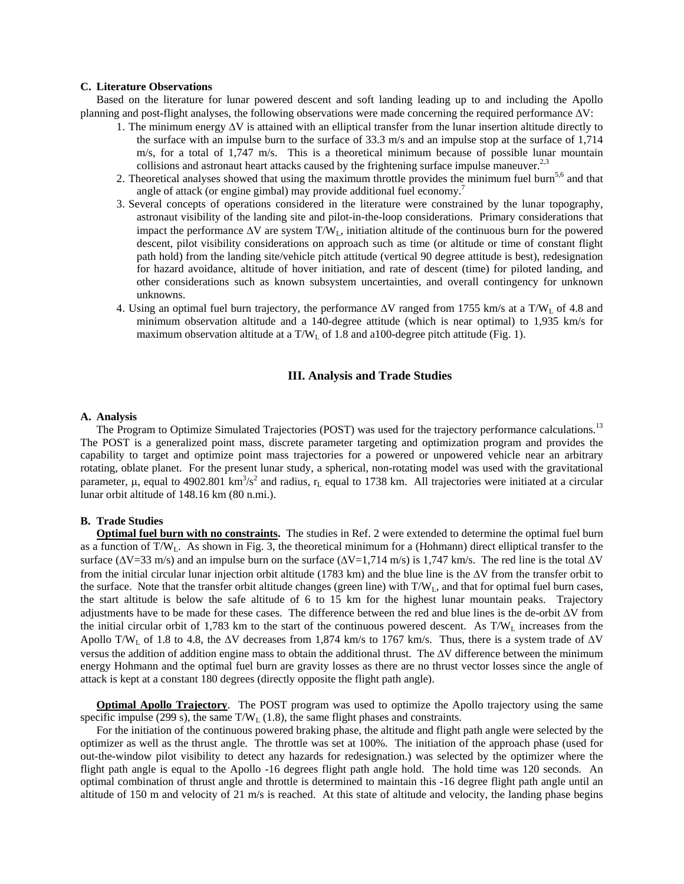## **C. Literature Observations**

Based on the literature for lunar powered descent and soft landing leading up to and including the Apollo planning and post-flight analyses, the following observations were made concerning the required performance ΔV:

- 1. The minimum energy ΔV is attained with an elliptical transfer from the lunar insertion altitude directly to the surface with an impulse burn to the surface of 33.3 m/s and an impulse stop at the surface of 1,714 m/s, for a total of 1,747 m/s. This is a theoretical minimum because of possible lunar mountain collisions and astronaut heart attacks caused by the frightening surface impulse maneuver.<sup>2,3</sup>
- 2. Theoretical analyses showed that using the maximum throttle provides the minimum fuel burn<sup>5,6</sup> and that angle of attack (or engine gimbal) may provide additional fuel economy.<sup>7</sup>
- 3. Several concepts of operations considered in the literature were constrained by the lunar topography, astronaut visibility of the landing site and pilot-in-the-loop considerations. Primary considerations that impact the performance  $\Delta V$  are system T/W<sub>L</sub>, initiation altitude of the continuous burn for the powered descent, pilot visibility considerations on approach such as time (or altitude or time of constant flight path hold) from the landing site/vehicle pitch attitude (vertical 90 degree attitude is best), redesignation for hazard avoidance, altitude of hover initiation, and rate of descent (time) for piloted landing, and other considerations such as known subsystem uncertainties, and overall contingency for unknown unknowns.
- 4. Using an optimal fuel burn trajectory, the performance  $\Delta V$  ranged from 1755 km/s at a T/W<sub>L</sub> of 4.8 and minimum observation altitude and a 140-degree attitude (which is near optimal) to 1,935 km/s for maximum observation altitude at a  $T/W<sub>L</sub>$  of 1.8 and a100-degree pitch attitude (Fig. 1).

## **III. Analysis and Trade Studies**

## **A. Analysis**

The Program to Optimize Simulated Trajectories (POST) was used for the trajectory performance calculations.<sup>13</sup> The POST is a generalized point mass, discrete parameter targeting and optimization program and provides the capability to target and optimize point mass trajectories for a powered or unpowered vehicle near an arbitrary rotating, oblate planet. For the present lunar study, a spherical, non-rotating model was used with the gravitational parameter,  $\mu$ , equal to 4902.801 km<sup>3</sup>/s<sup>2</sup> and radius,  $r_L$  equal to 1738 km. All trajectories were initiated at a circular lunar orbit altitude of 148.16 km (80 n.mi.).

## **B. Trade Studies**

**Optimal fuel burn with no constraints.** The studies in Ref. 2 were extended to determine the optimal fuel burn as a function of  $T/W_L$ . As shown in Fig. 3, the theoretical minimum for a (Hohmann) direct elliptical transfer to the surface ( $\Delta V$ =33 m/s) and an impulse burn on the surface ( $\Delta V$ =1,714 m/s) is 1,747 km/s. The red line is the total  $\Delta V$ from the initial circular lunar injection orbit altitude (1783 km) and the blue line is the ΔV from the transfer orbit to the surface. Note that the transfer orbit altitude changes (green line) with  $T/W_L$ , and that for optimal fuel burn cases, the start altitude is below the safe altitude of 6 to 15 km for the highest lunar mountain peaks. Trajectory adjustments have to be made for these cases. The difference between the red and blue lines is the de-orbit ΔV from the initial circular orbit of 1,783 km to the start of the continuous powered descent. As  $T/W_L$  increases from the Apollo T/W<sub>L</sub> of 1.8 to 4.8, the  $\Delta V$  decreases from 1,874 km/s to 1767 km/s. Thus, there is a system trade of  $\Delta V$ versus the addition of addition engine mass to obtain the additional thrust. The ΔV difference between the minimum energy Hohmann and the optimal fuel burn are gravity losses as there are no thrust vector losses since the angle of attack is kept at a constant 180 degrees (directly opposite the flight path angle).

**Optimal Apollo Trajectory**. The POST program was used to optimize the Apollo trajectory using the same specific impulse (299 s), the same  $T/W_L$  (1.8), the same flight phases and constraints.

For the initiation of the continuous powered braking phase, the altitude and flight path angle were selected by the optimizer as well as the thrust angle. The throttle was set at 100%. The initiation of the approach phase (used for out-the-window pilot visibility to detect any hazards for redesignation.) was selected by the optimizer where the flight path angle is equal to the Apollo -16 degrees flight path angle hold. The hold time was 120 seconds. An optimal combination of thrust angle and throttle is determined to maintain this -16 degree flight path angle until an altitude of 150 m and velocity of 21 m/s is reached. At this state of altitude and velocity, the landing phase begins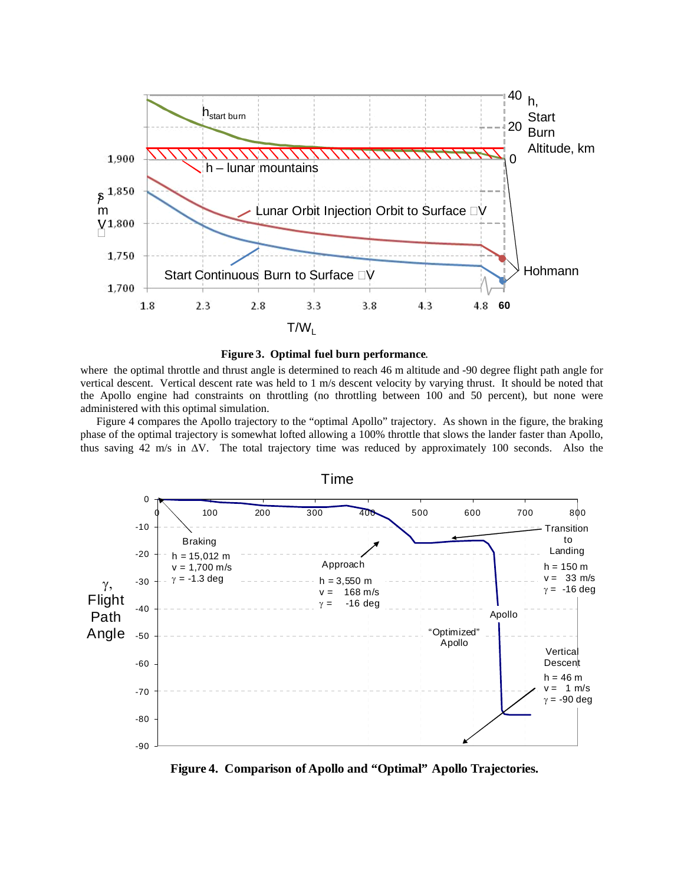



where the optimal throttle and thrust angle is determined to reach 46 m altitude and -90 degree flight path angle for vertical descent. Vertical descent rate was held to 1 m/s descent velocity by varying thrust. It should be noted that the Apollo engine had constraints on throttling (no throttling between 100 and 50 percent), but none were administered with this optimal simulation.

Figure 4 compares the Apollo trajectory to the "optimal Apollo" trajectory. As shown in the figure, the braking phase of the optimal trajectory is somewhat lofted allowing a 100% throttle that slows the lander faster than Apollo, thus saving 42 m/s in ΔV. The total trajectory time was reduced by approximately 100 seconds. Also the



**Figure 4. Comparison of Apollo and "Optimal" Apollo Trajectories.**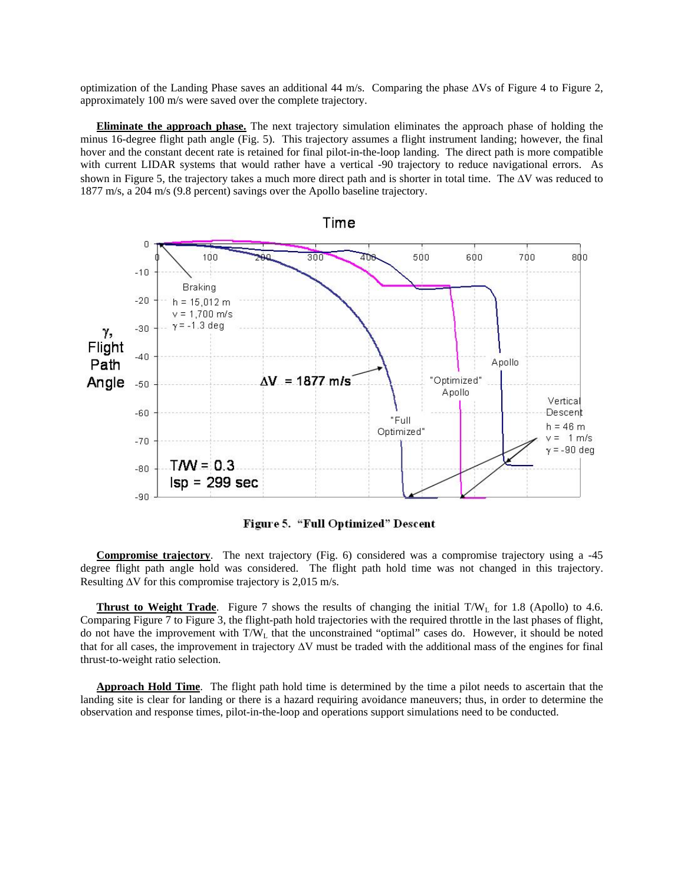optimization of the Landing Phase saves an additional 44 m/s. Comparing the phase ΔVs of Figure 4 to Figure 2, approximately 100 m/s were saved over the complete trajectory.

**Eliminate the approach phase.** The next trajectory simulation eliminates the approach phase of holding the minus 16-degree flight path angle (Fig. 5). This trajectory assumes a flight instrument landing; however, the final hover and the constant decent rate is retained for final pilot-in-the-loop landing. The direct path is more compatible with current LIDAR systems that would rather have a vertical -90 trajectory to reduce navigational errors. As shown in Figure 5, the trajectory takes a much more direct path and is shorter in total time. The ΔV was reduced to 1877 m/s, a 204 m/s (9.8 percent) savings over the Apollo baseline trajectory.



Figure 5. "Full Optimized" Descent

**Compromise trajectory**. The next trajectory (Fig. 6) considered was a compromise trajectory using a -45 degree flight path angle hold was considered. The flight path hold time was not changed in this trajectory. Resulting ΔV for this compromise trajectory is 2,015 m/s.

**Thrust to Weight Trade**. Figure 7 shows the results of changing the initial T/W<sub>L</sub> for 1.8 (Apollo) to 4.6. Comparing Figure 7 to Figure 3, the flight-path hold trajectories with the required throttle in the last phases of flight, do not have the improvement with  $T/W_L$  that the unconstrained "optimal" cases do. However, it should be noted that for all cases, the improvement in trajectory ΔV must be traded with the additional mass of the engines for final thrust-to-weight ratio selection.

**Approach Hold Time**. The flight path hold time is determined by the time a pilot needs to ascertain that the landing site is clear for landing or there is a hazard requiring avoidance maneuvers; thus, in order to determine the observation and response times, pilot-in-the-loop and operations support simulations need to be conducted.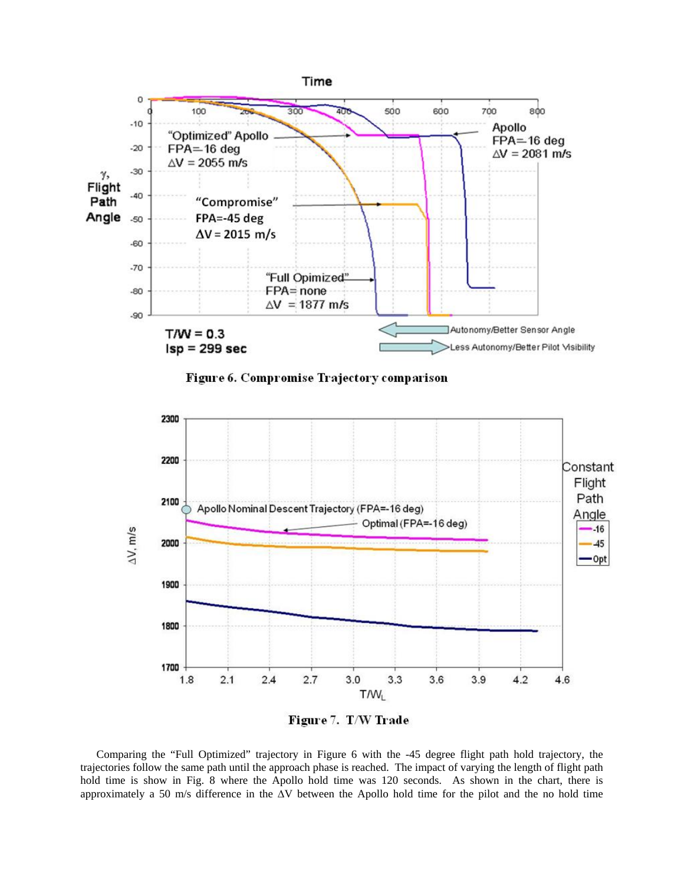

Figure 6. Compromise Trajectory comparison



Comparing the "Full Optimized" trajectory in Figure 6 with the -45 degree flight path hold trajectory, the trajectories follow the same path until the approach phase is reached. The impact of varying the length of flight path hold time is show in Fig. 8 where the Apollo hold time was 120 seconds. As shown in the chart, there is approximately a 50 m/s difference in the ΔV between the Apollo hold time for the pilot and the no hold time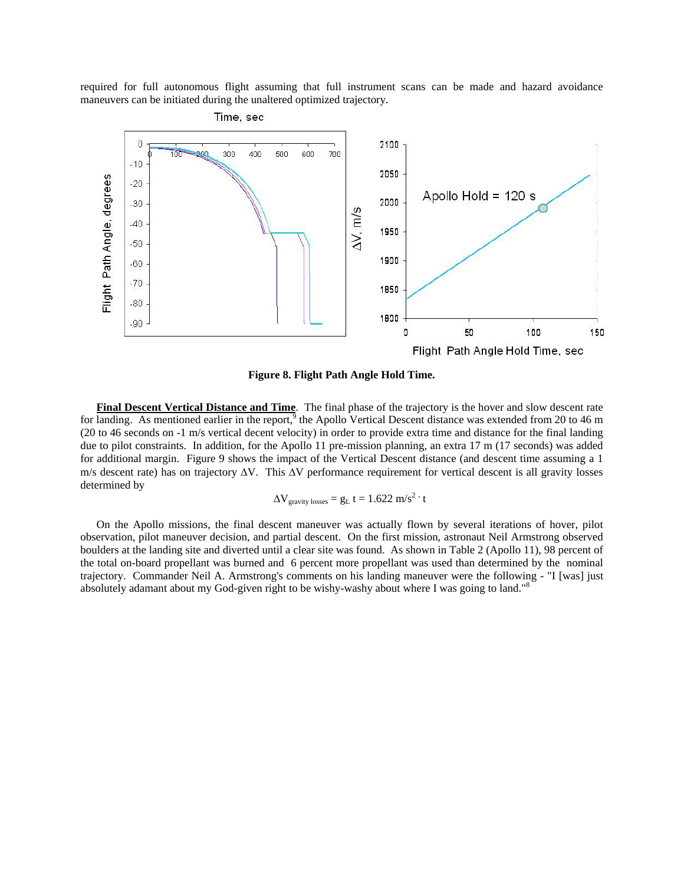required for full autonomous flight assuming that full instrument scans can be made and hazard avoidance maneuvers can be initiated during the unaltered optimized trajectory.



**Figure 8. Flight Path Angle Hold Time.** 

**Final Descent Vertical Distance and Time**. The final phase of the trajectory is the hover and slow descent rate for landing. As mentioned earlier in the report, $9$  the Apollo Vertical Descent distance was extended from 20 to 46 m (20 to 46 seconds on -1 m/s vertical decent velocity) in order to provide extra time and distance for the final landing due to pilot constraints. In addition, for the Apollo 11 pre-mission planning, an extra 17 m (17 seconds) was added for additional margin. Figure 9 shows the impact of the Vertical Descent distance (and descent time assuming a 1 m/s descent rate) has on trajectory  $\Delta V$ . This  $\Delta V$  performance requirement for vertical descent is all gravity losses determined by

$$
\Delta V_{\text{gravity losses}} = g_L t = 1.622 \text{ m/s}^2 \cdot t
$$

On the Apollo missions, the final descent maneuver was actually flown by several iterations of hover, pilot observation, pilot maneuver decision, and partial descent. On the first mission, astronaut Neil Armstrong observed boulders at the landing site and diverted until a clear site was found. As shown in Table 2 (Apollo 11), 98 percent of the total on-board propellant was burned and 6 percent more propellant was used than determined by the nominal trajectory. Commander Neil A. Armstrong's comments on his landing maneuver were the following - "I [was] just absolutely adamant about my God-given right to be wishy-washy about where I was going to land."8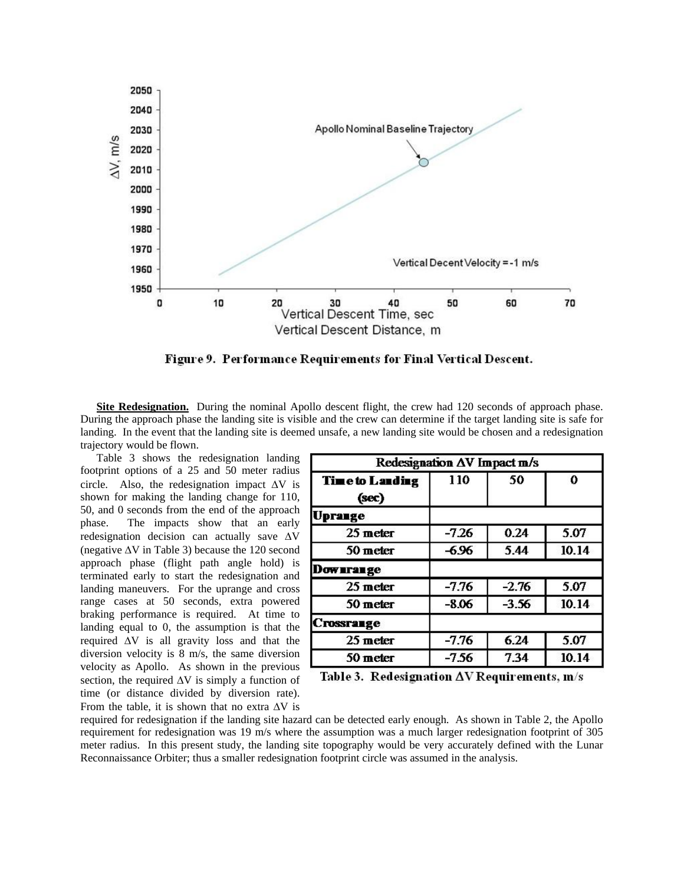

Figure 9. Performance Requirements for Final Vertical Descent.

**Site Redesignation.** During the nominal Apollo descent flight, the crew had 120 seconds of approach phase. During the approach phase the landing site is visible and the crew can determine if the target landing site is safe for landing. In the event that the landing site is deemed unsafe, a new landing site would be chosen and a redesignation trajectory would be flown.

Table 3 shows the redesignation landing footprint options of a 25 and 50 meter radius circle. Also, the redesignation impact  $\Delta V$  is shown for making the landing change for 110, 50, and 0 seconds from the end of the approach phase. The impacts show that an early redesignation decision can actually save ΔV (negative  $\Delta V$  in Table 3) because the 120 second approach phase (flight path angle hold) is terminated early to start the redesignation and landing maneuvers. For the uprange and cross range cases at 50 seconds, extra powered braking performance is required. At time to landing equal to 0, the assumption is that the required ΔV is all gravity loss and that the diversion velocity is 8 m/s, the same diversion velocity as Apollo. As shown in the previous section, the required  $\Delta V$  is simply a function of time (or distance divided by diversion rate). From the table, it is shown that no extra  $\Delta V$  is

| Redesignation AV Impact m/s     |           |         |       |  |  |  |
|---------------------------------|-----------|---------|-------|--|--|--|
| <b>Time to Landing</b><br>(sec) | 110<br>50 |         | 0     |  |  |  |
| <b>Uprange</b>                  |           |         |       |  |  |  |
| 25 meter                        | $-7.26$   | 0.24    | 5.07  |  |  |  |
| 50 meter                        | -6.96     | 5.44    | 10.14 |  |  |  |
| Downrange                       |           |         |       |  |  |  |
| $25$ meter                      | $-7.76$   | $-2.76$ | 5.07  |  |  |  |
| 50 meter                        | $-8.06$   | $-3.56$ | 10.14 |  |  |  |
| <b>Crossrange</b>               |           |         |       |  |  |  |
| $25$ meter                      | $-7.76$   | 6.24    | 5.07  |  |  |  |
| 50 meter                        | $-7.56$   | 7.34    | 10.14 |  |  |  |

Table 3. Redesignation  $\Delta V$  Requirements,  $m/s$ 

required for redesignation if the landing site hazard can be detected early enough. As shown in Table 2, the Apollo requirement for redesignation was 19 m/s where the assumption was a much larger redesignation footprint of 305 meter radius. In this present study, the landing site topography would be very accurately defined with the Lunar Reconnaissance Orbiter; thus a smaller redesignation footprint circle was assumed in the analysis.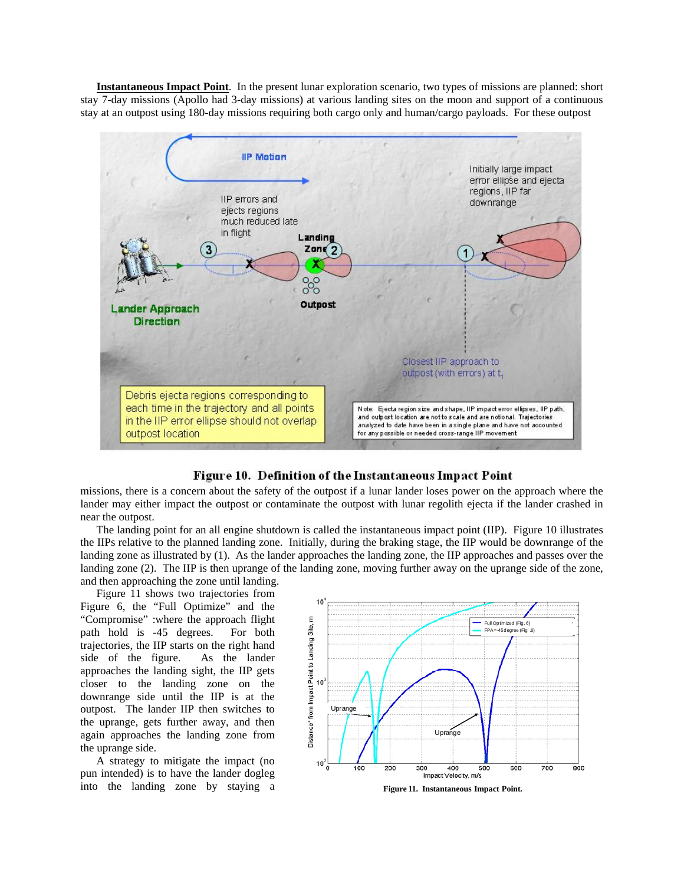**Instantaneous Impact Point**. In the present lunar exploration scenario, two types of missions are planned: short stay 7-day missions (Apollo had 3-day missions) at various landing sites on the moon and support of a continuous stay at an outpost using 180-day missions requiring both cargo only and human/cargo payloads. For these outpost



Figure 10. Definition of the Instantaneous Impact Point

missions, there is a concern about the safety of the outpost if a lunar lander loses power on the approach where the lander may either impact the outpost or contaminate the outpost with lunar regolith ejecta if the lander crashed in near the outpost.

The landing point for an all engine shutdown is called the instantaneous impact point (IIP). Figure 10 illustrates the IIPs relative to the planned landing zone. Initially, during the braking stage, the IIP would be downrange of the landing zone as illustrated by (1). As the lander approaches the landing zone, the IIP approaches and passes over the landing zone (2). The IIP is then uprange of the landing zone, moving further away on the uprange side of the zone, and then approaching the zone until landing.

Figure 11 shows two trajectories from Figure 6, the "Full Optimize" and the "Compromise" :where the approach flight path hold is -45 degrees. For both trajectories, the IIP starts on the right hand side of the figure. As the lander approaches the landing sight, the IIP gets closer to the landing zone on the downrange side until the IIP is at the outpost. The lander IIP then switches to the uprange, gets further away, and then again approaches the landing zone from the uprange side.

A strategy to mitigate the impact (no pun intended) is to have the lander dogleg into the landing zone by staying a



**Figure 16. Instantaneous Impact Point for Reference and**  Figure 11. Instantaneous Impact Point.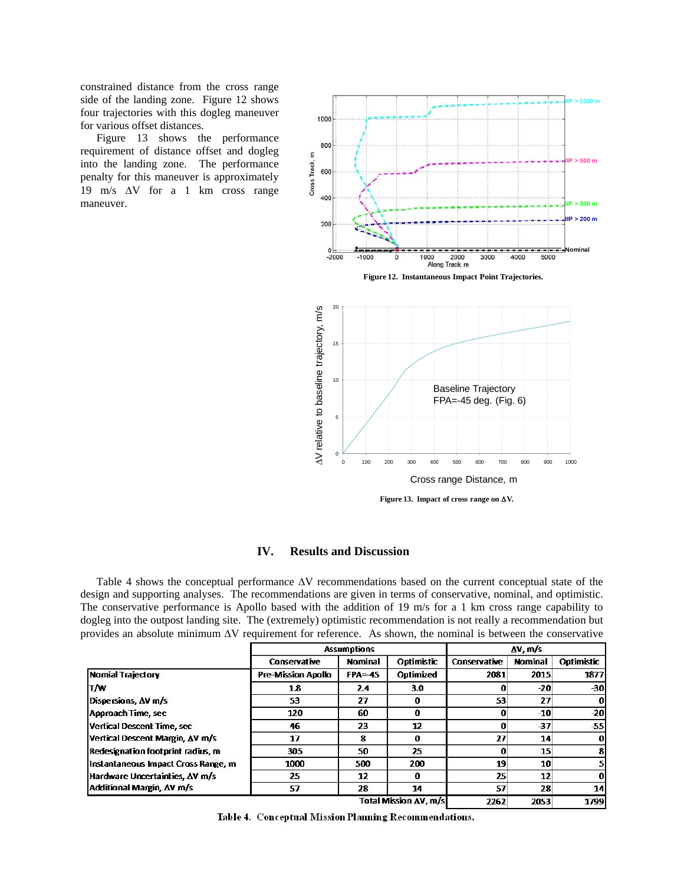constrained distance from the cross range side of the landing zone. Figure 12 shows four trajectories with this dogleg maneuver for various offset distances.

Figure 13 shows the performance requirement of distance offset and dogleg into the landing zone. The performance penalty for this maneuver is approximately 19 m/s ΔV for a 1 km cross range maneuver.





## **IV. Results and Discussion**

Table 4 shows the conceptual performance ΔV recommendations based on the current conceptual state of the design and supporting analyses. The recommendations are given in terms of conservative, nominal, and optimistic. The conservative performance is Apollo based with the addition of 19 m/s for a 1 km cross range capability to dogleg into the outpost landing site. The (extremely) optimistic recommendation is not really a recommendation but provides an absolute minimum ΔV requirement for reference. As shown, the nominal is between the conservative

|                                     | <b>Assumptions</b>        |                |                       | $\Delta V$ , m/s |                |            |
|-------------------------------------|---------------------------|----------------|-----------------------|------------------|----------------|------------|
|                                     | Conservative              | <b>Nominal</b> | Optimistic            | Conservative     | <b>Nominal</b> | Optimistic |
| <b>Nomial Trajectory</b>            | <b>Pre-Mission Apollo</b> | $FPA = 45$     | Optimized             | 2081             | 2015           | 1877       |
| <b>T/W</b>                          | 1.8                       | 2.4            | 3.0                   | o                | $-20$          | $-30$      |
| Dispersions, AV m/s                 | 53                        | 27             | $\Omega$              | 53               | 27             | 0          |
| Approach Time, sec                  | 120                       | 60             | $\bf{0}$              | 0                | $-10$          | $-20$      |
| Vertical Descent Time, sec          | 46                        | 23             | 12                    | 0                | $-37$          | $-55$      |
| Vertical Descent Margin, AV m/s     | 17                        | 8              | 0                     | 27               | 14             | $\bf{0}$   |
| Redesignation footprint radius, m   | 305                       | 50             | 25                    | 0                | 15             | 8          |
| Instantaneous Impact Cross Range, m | 1000                      | 500            | 200                   | 19               | 10             | 5          |
| Hardware Uncertainties, AV m/s      | 25                        | 12             | $\bf{0}$              | 25               | 12             | $\bf{0}$   |
| Additional Margin, AV m/s           | 57                        | 28             | 14                    | 57               | 28             | 14         |
|                                     |                           |                | Total Mission AV, m/s | 2262             | 2053           | 1799       |

Table 4. Conceptual Mission Planning Recommendations.